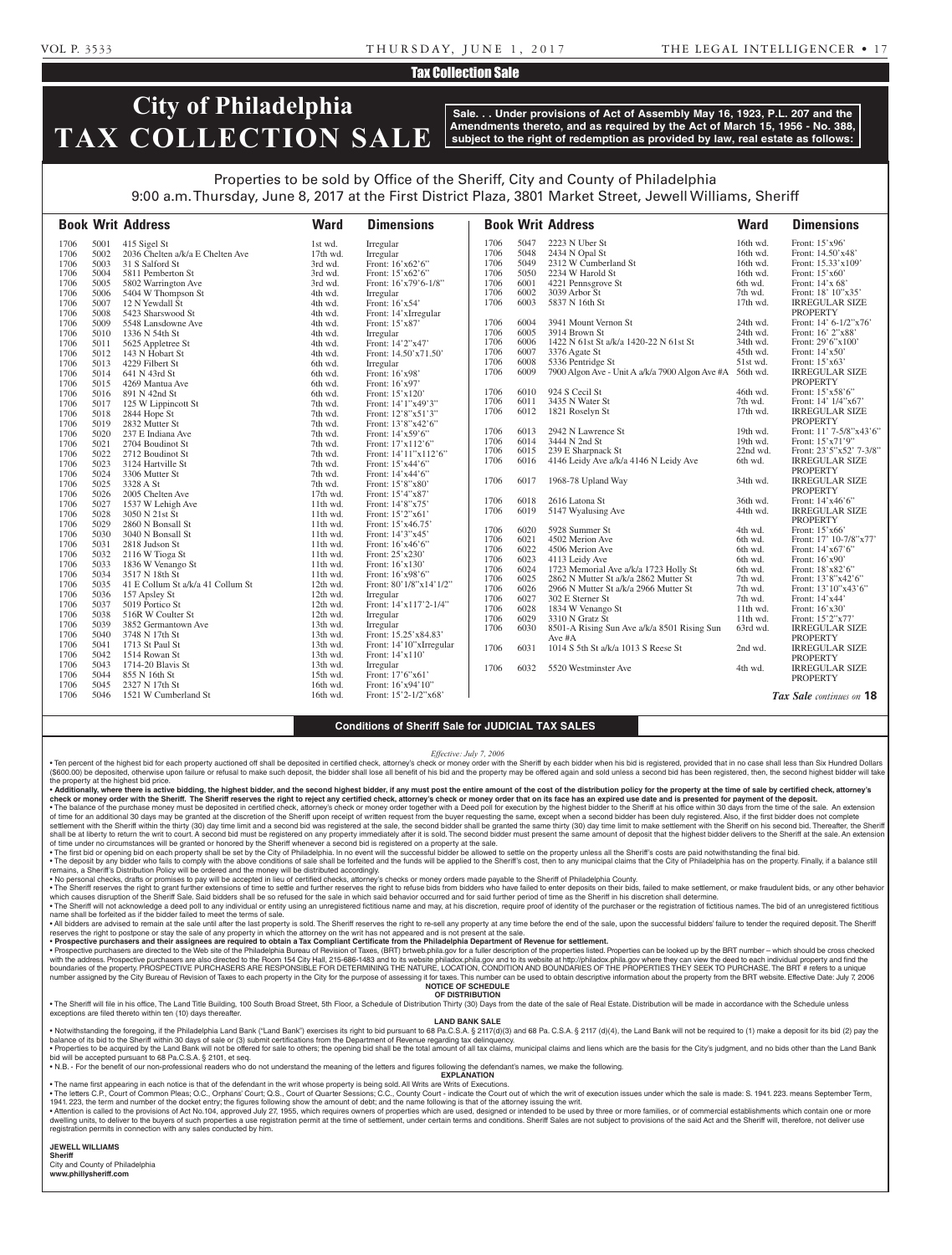# Tax Collection Sale

# **City of Philadelphia TAX COLLECTION SALE**

**Sale. . . Under provisions of Act of Assembly May 16, 1923, P.L. 207 and the Amendments thereto, and as required by the Act of March 15, 1956 - No. 388, subject to the right of redemption as provided by law, real estate as follows:**

# Properties to be sold by Office of the Sheriff, City and County of Philadelphia 9:00 a.m. Thursday, June 8, 2017 at the First District Plaza, 3801 Market Street, Jewell Williams, Sheriff

|      |      | <b>Book Writ Address</b>          | <b>Ward</b> | <b>Dimensions</b>         |              |              | <b>Book Writ Address</b>                        | <b>Ward</b>        | <b>Dimensions</b>                          |
|------|------|-----------------------------------|-------------|---------------------------|--------------|--------------|-------------------------------------------------|--------------------|--------------------------------------------|
| 1706 | 5001 | 415 Sigel St                      | 1st wd.     | Irregular                 | 1706         | 5047         | 2223 N Uber St                                  | 16th wd.           | Front: $15'$ x96'                          |
| 1706 | 5002 | 2036 Chelten a/k/a E Chelten Ave  | 17th wd.    | Irregular                 | 1706         | 5048         | 2434 N Opal St                                  | 16th wd.           | Front: 14.50'x48'                          |
| 1706 | 5003 | 31 S Salford St                   | 3rd wd.     | Front: 16'x62'6"          | 1706         | 5049         | 2312 W Cumberland St                            | 16th wd.           | Front: 15.33'x109'                         |
| 1706 | 5004 | 5811 Pemberton St                 | 3rd wd.     | Front: 15'x62'6"          | 1706         | 5050         | 2234 W Harold St                                | 16th wd.           | Front: 15'x60'                             |
| 1706 | 5005 | 5802 Warrington Ave               | 3rd wd.     | Front: 16'x79'6-1/8"      | 1706         | 6001         | 4221 Pennsgrove St                              | 6th wd.            | Front: $14'x\,68'$                         |
| 1706 | 5006 | 5404 W Thompson St                | 4th wd.     | Irregular                 | 1706         | 6002         | 3039 Arbor St                                   | 7th wd.            | Front: 18' 10"x35'                         |
| 1706 | 5007 | 12 N Yewdall St                   | 4th wd.     | Front: 16'x54'            | 1706         | 6003         | 5837 N 16th St                                  | $17th$ wd.         | <b>IRREGULAR SIZE</b>                      |
| 1706 | 5008 | 5423 Sharswood St                 | 4th wd.     | Front: 14'xIrregular      |              |              |                                                 |                    | <b>PROPERTY</b>                            |
| 1706 | 5009 | 5548 Lansdowne Ave                | 4th wd.     | Front: 15'x87'            | 1706         | 6004         | 3941 Mount Vernon St                            | 24th wd.           | Front: 14' 6-1/2"x76'                      |
| 1706 | 5010 | 1336 N 54th St                    | 4th wd.     | Irregular                 | 1706         | 6005         | 3914 Brown St                                   | 24th wd.           | Front: 16' 2"x88"                          |
| 1706 | 5011 | 5625 Appletree St                 | 4th wd.     | Front: 14'2"x47'          | 1706         | 6006         | 1422 N 61st St a/k/a 1420-22 N 61st St          | 34th wd.           | Front: 29'6"x100"                          |
| 1706 | 5012 | 143 N Hobart St                   | 4th wd.     | Front: 14.50'x71.50'      | 1706         | 6007         | 3376 Agate St                                   | 45th wd.           | Front: $14'x50'$                           |
| 1706 | 5013 | 4229 Filbert St                   | 6th wd.     | Irregular                 | 1706         | 6008         | 5336 Pentridge St                               | 51st wd.           | Front: 15'x63'                             |
| 1706 | 5014 | 641 N 43rd St                     | 6th wd.     | Front: 16'x98'            | 1706         | 6009         | 7900 Algon Ave - Unit A a/k/a 7900 Algon Ave #A | 56th wd.           | <b>IRREGULAR SIZE</b>                      |
| 1706 | 5015 | 4269 Mantua Ave                   | 6th wd.     | Front: 16'x97'            |              |              |                                                 |                    | <b>PROPERTY</b>                            |
| 1706 | 5016 | 891 N 42nd St                     | 6th wd.     | Front: 15'x120'           | 1706         | 6010         | 924 S Cecil St                                  | 46th wd.           | Front: 15'x58'6"                           |
| 1706 | 5017 | 125 W Lippincott St               | 7th wd.     | Front: 14'1"x49'3"        | 1706         | 6011         | 3435 N Water St                                 | 7th wd.            | Front: 14' 1/4"x67'                        |
| 1706 | 5018 | 2844 Hope St                      | 7th wd.     | Front: 12'8"x51'3"        | 1706         | 6012         | 1821 Roselyn St                                 | 17th wd.           | <b>IRREGULAR SIZE</b>                      |
| 1706 | 5019 | 2832 Mutter St                    | 7th wd.     | Front: 13'8"x42'6"        |              |              |                                                 |                    | <b>PROPERTY</b>                            |
| 1706 | 5020 | 237 E Indiana Ave                 | 7th wd.     | Front: 14'x59'6"          | 1706         | 6013         | 2942 N Lawrence St                              | 19th wd.           | Front: 11' 7-5/8"x43'6"                    |
| 1706 | 5021 | 2704 Boudinot St                  | 7th wd.     | Front: 17'x112'6"         | 1706         | 6014         | 3444 N 2nd St                                   | 19th wd.           | Front: 15'x71'9"                           |
| 1706 | 5022 | 2712 Boudinot St                  | 7th wd.     | Front: $14'11''x112'6''$  | 1706         | 6015         | 239 E Sharpnack St                              | 22nd wd.           | Front: 23'5"x52' 7-3/8"                    |
| 1706 | 5023 | 3124 Hartville St                 | 7th wd.     | Front: 15'x44'6"          | 1706         | 6016         | 4146 Leidy Ave a/k/a 4146 N Leidy Ave           | 6th wd.            | <b>IRREGULAR SIZE</b>                      |
| 1706 | 5024 | 3306 Mutter St                    | 7th wd.     | Front: 14'x44'6"          |              |              |                                                 |                    | <b>PROPERTY</b>                            |
| 1706 | 5025 | 3328 A St                         | 7th wd.     | Front: 15'8"x80'          | 1706         | 6017         | 1968-78 Upland Way                              | 34th wd.           | <b>IRREGULAR SIZE</b>                      |
| 1706 | 5026 | 2005 Chelten Ave                  | 17th wd.    | Front: 15'4"x87'          |              |              |                                                 |                    | PROPERTY                                   |
| 1706 | 5027 | 1537 W Lehigh Ave                 | 11th wd.    | Front: 14'8"x75'          | 1706         | 6018         | 2616 Latona St                                  | 36th wd.           | Front: 14'x46'6"                           |
| 1706 | 5028 | 3050 N 21st St                    | 11th wd.    | Front: 15'2"x61'          | 1706         | 6019         | 5147 Wyalusing Ave                              | 44th wd.           | <b>IRREGULAR SIZE</b>                      |
| 1706 | 5029 | 2860 N Bonsall St                 | 11th wd.    | Front: 15'x46.75'         |              |              |                                                 |                    | <b>PROPERTY</b>                            |
| 1706 | 5030 | 3040 N Bonsall St                 | 11th wd.    | Front: 14'3"x45'          | 1706         | 6020         | 5928 Summer St                                  | 4th wd.            | Front: 15'x66'                             |
| 1706 | 5031 | 2818 Judson St                    | 11th wd.    | Front: $16'x46'6"$        | 1706<br>1706 | 6021<br>6022 | 4502 Merion Ave<br>4506 Merion Ave              | 6th wd.<br>6th wd. | Front: 17' 10-7/8"x77"<br>Front: 14'x67'6" |
| 1706 | 5032 | 2116 W Tioga St                   | 11th wd.    | Front: 25'x230'           | 1706         | 6023         | 4113 Leidy Ave                                  | 6th wd.            | Front: 16'x90'                             |
| 1706 | 5033 | 1836 W Venango St                 | 11th wd.    | Front: 16'x130'           | 1706         | 6024         | 1723 Memorial Ave a/k/a 1723 Holly St           | 6th wd.            | Front: 18'x82'6"                           |
| 1706 | 5034 | 3517 N 18th St                    | 11th wd.    | Front: 16'x98'6"          | 1706         | 6025         | 2862 N Mutter St a/k/a 2862 Mutter St           | 7th wd.            | Front: 13'8"x42'6"                         |
| 1706 | 5035 | 41 E Collum St a/k/a 41 Collum St | 12th wd.    | Front: 80'1/8"x14'1/2"    | 1706         | 6026         | 2966 N Mutter St a/k/a 2966 Mutter St           | 7th wd.            | Front: 13'10"x43'6"                        |
| 1706 | 5036 | 157 Apsley St                     | 12th wd.    | Irregular                 | 1706         | 6027         | 302 E Sterner St                                | 7th wd.            | Front: 14'x44'                             |
| 1706 | 5037 | 5019 Portico St                   | 12th wd.    | Front: 14'x117'2-1/4"     | 1706         | 6028         | 1834 W Venango St                               | 11th wd.           | Front: 16'x30'                             |
| 1706 | 5038 | 516R W Coulter St                 | 12th wd.    | Irregular                 | 1706         | 6029         | 3310 N Gratz St                                 | 11th wd.           | Front: 15'2"x77'                           |
| 1706 | 5039 | 3852 Germantown Ave               | 13th wd.    | Irregular                 | 1706         | 6030         | 8501-A Rising Sun Ave a/k/a 8501 Rising Sun     | 63rd wd.           | <b>IRREGULAR SIZE</b>                      |
| 1706 | 5040 | 3748 N 17th St                    | 13th wd.    | Front: 15.25'x84.83'      |              |              | Ave $#A$                                        |                    | <b>PROPERTY</b>                            |
| 1706 | 5041 | 1713 St Paul St                   | 13th wd.    | Front: 14'10"xIrregular   | 1706         | 6031         | 1014 S 5th St a/k/a 1013 S Reese St             | 2nd wd.            | <b>IRREGULAR SIZE</b>                      |
| 1706 | 5042 | 1514 Rowan St                     | 13th wd.    | Front: 14'x110'           |              |              |                                                 |                    | <b>PROPERTY</b>                            |
| 1706 | 5043 | 1714-20 Blavis St                 | 13th wd.    | Irregular                 | 1706         | 6032         | 5520 Westminster Ave                            | 4th wd.            | <b>IRREGULAR SIZE</b>                      |
| 1706 | 5044 | 855 N 16th St                     | 15th wd.    | Front: 17'6"x61'          |              |              |                                                 |                    | <b>PROPERTY</b>                            |
| 1706 | 5045 | 2327 N 17th St                    | 16th wd.    | Front: 16'x94'10"         |              |              |                                                 |                    |                                            |
| 1706 | 5046 | 1521 W Cumberland St              | 16th wd.    | Front: $15'2 - 1/2''x68'$ |              |              |                                                 |                    | Tax Sale continues on 18                   |

# **Conditions of Sheriff Sale for JUDICIAL TAX SALES**

*Effective: July 7, 2006*

· Ten percent of the highest bid for each property auctioned off shall be deposited in certified check, attorney's check or money order with the Sheriff by each bidder when his bid is registered, provided that in no case s (\$600.00) be deposited, otherwise upon failure or refusal to make such deposit, the bidder shall lose all benefit of his bid and the property may be offered again and sold unless a second bid has been registered, then, the the property at the highest bid price.

• Additionally, where there is active bidding, the highest bidder, and the second highest bidder, if any must post the entire amount of the cost of the distribution policy for the property at the time of sale by certified check or money order with the Sheriff. The Sheriff reserves the right to reject any certified check, attorney's check or money order that on its face has an expired use date and is presented for payment of the deposit. • The balance of the purchase money must be deposited in certified check, attorney's check or money order together with a Deed poll for execution by the highest bidder to the Sheriff at his office within 30 days from the t

settlement with the Sheriff within the thirty (30) day time limit and a second bid was registered at the sale, the second bidder shall be granted the same thirty (30) day time limit to make settlement with the Sheriff on h shall be at liberty to return the writ to court. A second bid must be registered on any property immediately after it is sold. The second bidder must present the same amount of deposit that the highest bidder delivers to t

• The first bid or opening bid on each property shall be set by the City of Philadelphia. In no event will the successful bidder be allowed to settle on the property unless all the Sheriff's costs are paid not withstanding

remains, a Sheriff's Distribution Policy will be ordered and the money will be distributed accordingly.<br>• No personal checks, drafts or promises to pay will be accepted in lieu of certified checks, attorney's checks or mo

• The Sheriff reserves the right to grant further extensions of time to settle and further reserves the right to refuse bids from bidders who have failed to enter deposits on their bids, failed to make settlement, or make

. The Sheriff will not acknowledge a deed poll to any individual or entity using an unregistered fictitious name and may, at his discretion, require proof of identity of the purchaser or the registration of fictitious name name shall be forfeited as if the bidder failed to meet the terms of sale. A libidders are advised to remain at the sale until after the last property is sold. The Sheriff reserves the right to re-sell any property at any time before the end of the sale, upon the successful bidders' failure to te

reserves the right to postpone or stay the sale of any property in which the attorney on the writ has not appeared and is not present at the sale. • **Prospective purchasers and their assignees are required to obtain a Tax Compliant Certificate from the Philadelphia Department of Revenue for settlement.**

• Prospective purchasers are directed to the Web site of the Philadelphia Bureau of Revision of Taxes, (BRT) brtweb.phila.gov for a fuller description of the properties listed. Properties can be looked up by the BRT number boundaries of the property. PROSPECTIVE PURCHASERS ARE RESPONSIBLE FOR DETERMINING THE NATURE, LOCATION, CONDITION AND BOUNDARIES OF THE PROPERTIES THEY SEEK TO PURCHASE. The BRT # refers to a unique number assigned by the City Bureau of Revision of Taxes to each property in the City for the purpose of assessing it for taxes. This number can be used to obtain descriptive information about the property from the BRT webs

**NOTICE OF SCHEDULE**

**OF DISTRIBUTION** . The Sheriff will file in his office, The Land Title Building, 100 South Broad Street, 5th Floor, a Schedule of Distribution Thirty (30) Days from the date of the sale of Real Estate. Distribution will be made in accordan exceptions are filed thereto within ten (10) days thereafter.

**LAND BANK SALE**

• Notwithstanding the foregoing, if the Philadelphia Land Bank ("Land Bank") exercises its right to bid pursuant to 68 Pa.C.S.A. § 2117(d)(3) and 68 Pa.C.S.A. § 2117 (d)(4), the Land Bank will not be required to (1) make a balance of its bid to the Sheriff within 30 days of sale or (3) submit certifications from the Department of Revenue regarding tax delinquency. Properties to be acquired by the Land Bank will not be offered for sale to others; the opening bid shall be the total amount of all tax claims, municipal claims and liens which are the basis for the City's judgment, and no

bid will be accepted pursuant to 68 Pa.C.S.A. § 2101, et seq. • N.B. - For the benefit of our non-professional readers who do not understand the meaning of the letters and figures following the defendant's names, we make the following.

**EXPLANATION** 

• The name first appearing in each notice is that of the defendant in the writ whose property is being sold. All Writs are Writs of Executions.

. The letters C.P., Court of Common Pleas; O.C., Orphans' Court; Q.S., Court of Quarter Sessions; C.C., County Court - indicate the Court out of which the writ of execution issues under which the sale is made: S. 1941. 223 1941. 223, the term and number of the docket entry; the figures following show the amount of debt; and the name following is that of the attorney issuing the writ.

Attention is called to the provisions of Act No.104, approved July 27, 1955, which requires owners of properties which are used, designed or intended to be used by three or more families, or of commercial establishments wh dwelling units, to deliver to the buyers of such properties a use registration permit at the time of settlement, under certain terms and conditions. Sheriff Sales are not subject to provisions of the said Act and the Sheri registration permits in connection with any sales conducted by him.

**JEWELL WILLIAMS** 

**Sheriff**  City and County of Philadelphia **www.phillysheriff.com**